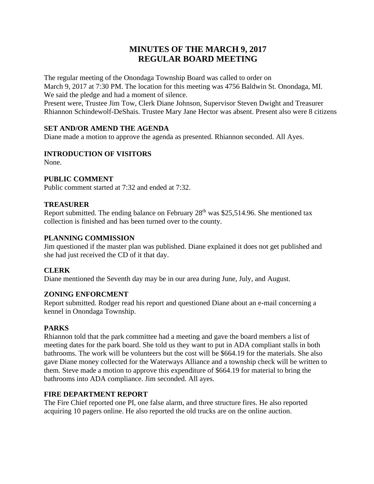# **MINUTES OF THE MARCH 9, 2017 REGULAR BOARD MEETING**

The regular meeting of the Onondaga Township Board was called to order on March 9, 2017 at 7:30 PM. The location for this meeting was 4756 Baldwin St. Onondaga, MI. We said the pledge and had a moment of silence. Present were, Trustee Jim Tow, Clerk Diane Johnson, Supervisor Steven Dwight and Treasurer

Rhiannon Schindewolf-DeShais. Trustee Mary Jane Hector was absent. Present also were 8 citizens

# **SET AND/OR AMEND THE AGENDA**

Diane made a motion to approve the agenda as presented. Rhiannon seconded. All Ayes.

# **INTRODUCTION OF VISITORS**

None.

# **PUBLIC COMMENT**

Public comment started at 7:32 and ended at 7:32.

## **TREASURER**

Report submitted. The ending balance on February  $28<sup>th</sup>$  was \$25,514.96. She mentioned tax collection is finished and has been turned over to the county.

## **PLANNING COMMISSION**

Jim questioned if the master plan was published. Diane explained it does not get published and she had just received the CD of it that day.

## **CLERK**

Diane mentioned the Seventh day may be in our area during June, July, and August.

## **ZONING ENFORCMENT**

Report submitted. Rodger read his report and questioned Diane about an e-mail concerning a kennel in Onondaga Township.

## **PARKS**

Rhiannon told that the park committee had a meeting and gave the board members a list of meeting dates for the park board. She told us they want to put in ADA compliant stalls in both bathrooms. The work will be volunteers but the cost will be \$664.19 for the materials. She also gave Diane money collected for the Waterways Alliance and a township check will be written to them. Steve made a motion to approve this expenditure of \$664.19 for material to bring the bathrooms into ADA compliance. Jim seconded. All ayes.

## **FIRE DEPARTMENT REPORT**

The Fire Chief reported one PI, one false alarm, and three structure fires. He also reported acquiring 10 pagers online. He also reported the old trucks are on the online auction.